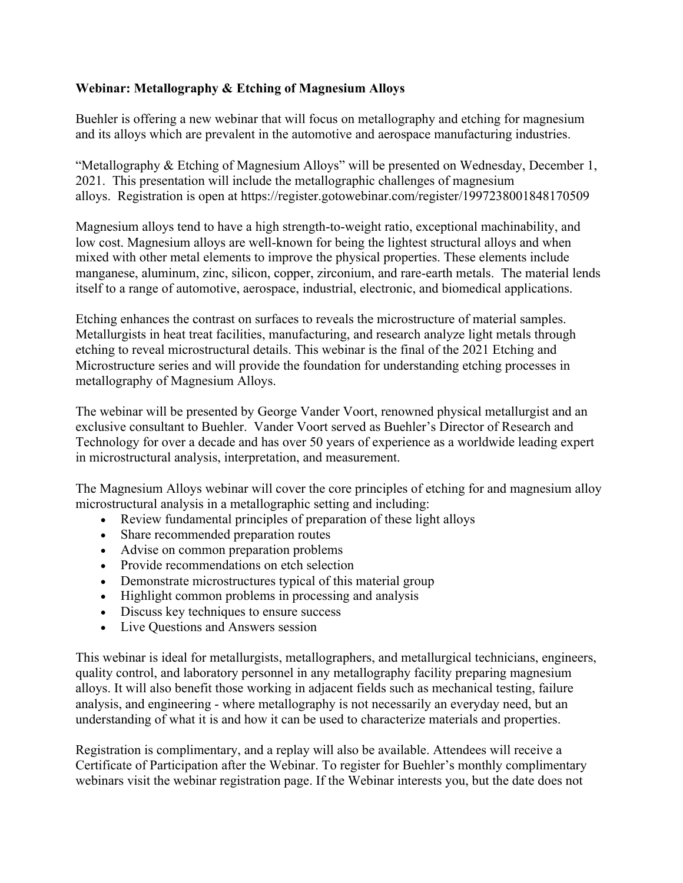## **Webinar: Metallography & Etching of Magnesium Alloys**

Buehler is offering a new webinar that will focus on metallography and etching for magnesium and its alloys which are prevalent in the automotive and aerospace manufacturing industries.

"Metallography & Etching of Magnesium Alloys" will be presented on Wednesday, December 1, 2021. This presentation will include the metallographic challenges of magnesium alloys. Registration is open at https://register.gotowebinar.com/register/1997238001848170509

Magnesium alloys tend to have a high strength-to-weight ratio, exceptional machinability, and low cost. Magnesium alloys are well-known for being the lightest structural alloys and when mixed with other metal elements to improve the physical properties. These elements include manganese, aluminum, zinc, silicon, copper, zirconium, and rare-earth metals. The material lends itself to a range of automotive, aerospace, industrial, electronic, and biomedical applications.

Etching enhances the contrast on surfaces to reveals the microstructure of material samples. Metallurgists in heat treat facilities, manufacturing, and research analyze light metals through etching to reveal microstructural details. This webinar is the final of the 2021 Etching and Microstructure series and will provide the foundation for understanding etching processes in metallography of Magnesium Alloys.

The webinar will be presented by George Vander Voort, renowned physical metallurgist and an exclusive consultant to Buehler. Vander Voort served as Buehler's Director of Research and Technology for over a decade and has over 50 years of experience as a worldwide leading expert in microstructural analysis, interpretation, and measurement.

The Magnesium Alloys webinar will cover the core principles of etching for and magnesium alloy microstructural analysis in a metallographic setting and including:

- Review fundamental principles of preparation of these light alloys
- Share recommended preparation routes
- Advise on common preparation problems
- Provide recommendations on etch selection
- Demonstrate microstructures typical of this material group
- Highlight common problems in processing and analysis
- Discuss key techniques to ensure success
- Live Questions and Answers session

This webinar is ideal for metallurgists, metallographers, and metallurgical technicians, engineers, quality control, and laboratory personnel in any metallography facility preparing magnesium alloys. It will also benefit those working in adjacent fields such as mechanical testing, failure analysis, and engineering - where metallography is not necessarily an everyday need, but an understanding of what it is and how it can be used to characterize materials and properties.

Registration is complimentary, and a replay will also be available. Attendees will receive a Certificate of Participation after the Webinar. To register for Buehler's monthly complimentary webinars visit the webinar registration page. If the Webinar interests you, but the date does not